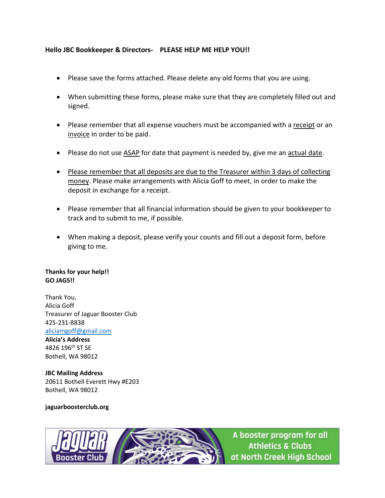#### **Hello JBC Bookkeeper & Directors- PLEASE HELP ME HELP YOU!!**

- Please save the forms attached. Please delete any old forms that you are using.
- When submitting these forms, please make sure that they are completely filled out and signed.
- Please remember that all expense vouchers must be accompanied with a receipt or an invoice in order to be paid.
- Please do not use ASAP for date that payment is needed by, give me an actual date.
- Please remember that all deposits are due to the Treasurer within 3 days of collecting money. Please make arrangements with Alicia Goff to meet, in order to make the deposit in exchange for a receipt.
- Please remember that all financial information should be given to your bookkeeper to track and to submit to me, if possible.
- When making a deposit, please verify your counts and fill out a deposit form, before giving to me.

#### **Thanks for your help!! GO JAGS!!**

Thank You, Alicia Goff Treasurer of Jaguar Booster Club 425-231-8838 [aliciamgoff@gmail.com](mailto:aliciamgoff@gmail.com)

**Alicia's Address** 4826 196th ST SE Bothell, WA 98012

**JBC Mailing Address** 20611 Bothell Everett Hwy #E203 Bothell, WA 98012

#### **jaguarboosterclub.org**



A booster program for all **Athletics & Clubs** at North Creek High School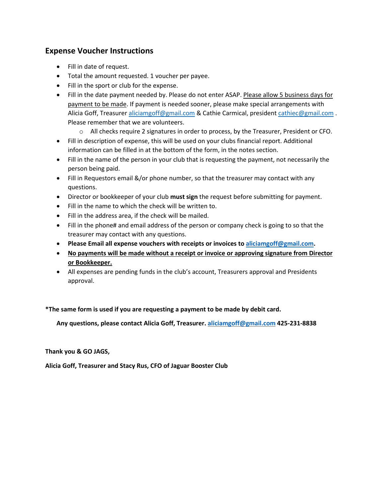## **Expense Voucher Instructions**

- Fill in date of request.
- Total the amount requested. 1 voucher per payee.
- Fill in the sport or club for the expense.
- Fill in the date payment needed by. Please do not enter ASAP. Please allow 5 business days for payment to be made. If payment is needed sooner, please make special arrangements with Alicia Goff, Treasure[r aliciamgoff@gmail.com](mailto:aliciamgoff@gmail.com) & Cathie Carmical, president [cathiec@g](mailto:cathie@jaguarboosterclub.org)mail.com . Please remember that we are volunteers.
	- o All checks require 2 signatures in order to process, by the Treasurer, President or CFO.
- Fill in description of expense, this will be used on your clubs financial report. Additional information can be filled in at the bottom of the form, in the notes section.
- Fill in the name of the person in your club that is requesting the payment, not necessarily the person being paid.
- Fill in Requestors email &/or phone number, so that the treasurer may contact with any questions.
- Director or bookkeeper of your club **must sign** the request before submitting for payment.
- Fill in the name to which the check will be written to.
- Fill in the address area, if the check will be mailed.
- Fill in the phone# and email address of the person or company check is going to so that the treasurer may contact with any questions.
- **Please Email all expense vouchers with receipts or invoices to [aliciamgoff@gmail.com.](mailto:aliciamgoff@gmail.com)**
- **No payments will be made without a receipt or invoice or approving signature from Director or Bookkeeper.**
- All expenses are pending funds in the club's account, Treasurers approval and Presidents approval.

#### **\*The same form is used if you are requesting a payment to be made by debit card.**

**Any questions, please contact Alicia Goff, Treasurer. [aliciamgoff@gmail.com](mailto:aliciamgoff@gmail.com) 425-231-8838**

#### **Thank you & GO JAGS,**

**Alicia Goff, Treasurer and Stacy Rus, CFO of Jaguar Booster Club**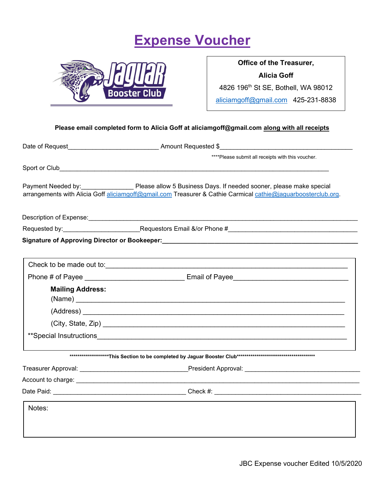# **Expense Voucher**



**Office of the Treasurer, Alicia Goff** 4826 196th St SE, Bothell, WA 98012 [aliciamgoff@gmail.com](mailto:aliciamgoff@gmail.com) 425-231-8838

#### **Please email completed form to Alicia Goff at aliciamgoff@gmail.com along with all receipts**

|                         | ****Please submit all receipts with this voucher.                                                                                                                                                                              |
|-------------------------|--------------------------------------------------------------------------------------------------------------------------------------------------------------------------------------------------------------------------------|
|                         |                                                                                                                                                                                                                                |
|                         | Payment Needed by: Please allow 5 Business Days. If needed sooner, please make special<br>arrangements with Alicia Goff aliciamgoff@gmail.com Treasurer & Cathie Carmical cathie@jaguarboosterclub.org.                        |
|                         |                                                                                                                                                                                                                                |
|                         |                                                                                                                                                                                                                                |
|                         |                                                                                                                                                                                                                                |
|                         |                                                                                                                                                                                                                                |
|                         | Check to be made out to: example and the contract of the material of the material of the material of the contract of the material of the material of the material of the material of the material of the material of the mater |
|                         |                                                                                                                                                                                                                                |
| <b>Mailing Address:</b> |                                                                                                                                                                                                                                |
|                         |                                                                                                                                                                                                                                |
|                         | (City, State, Zip) example and the state of the state of the state of the state of the state of the state of the state of the state of the state of the state of the state of the state of the state of the state of the state |
|                         |                                                                                                                                                                                                                                |
|                         |                                                                                                                                                                                                                                |
|                         | Treasurer Approval: ________________________________President Approval: __________________________________                                                                                                                     |
|                         |                                                                                                                                                                                                                                |
|                         |                                                                                                                                                                                                                                |
| Notes:                  |                                                                                                                                                                                                                                |
|                         |                                                                                                                                                                                                                                |
|                         |                                                                                                                                                                                                                                |
|                         |                                                                                                                                                                                                                                |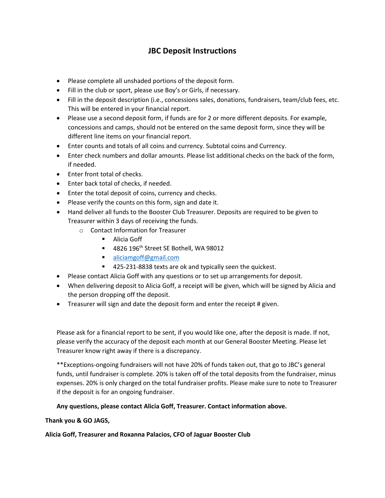## **JBC Deposit Instructions**

- Please complete all unshaded portions of the deposit form.
- Fill in the club or sport, please use Boy's or Girls, if necessary.
- Fill in the deposit description (i.e., concessions sales, donations, fundraisers, team/club fees, etc. This will be entered in your financial report.
- Please use a second deposit form, if funds are for 2 or more different deposits. For example, concessions and camps, should not be entered on the same deposit form, since they will be different line items on your financial report.
- Enter counts and totals of all coins and currency. Subtotal coins and Currency.
- Enter check numbers and dollar amounts. Please list additional checks on the back of the form, if needed.
- Enter front total of checks.
- Enter back total of checks, if needed.
- Enter the total deposit of coins, currency and checks.
- Please verify the counts on this form, sign and date it.
- Hand deliver all funds to the Booster Club Treasurer. Deposits are required to be given to Treasurer within 3 days of receiving the funds.
	- o Contact Information for Treasurer
		- **Alicia Goff**
		- $-4826$  196<sup>th</sup> Street SE Bothell, WA 98012
		- **[aliciamgoff@gmail.com](mailto:aliciamgoff@gmail.com)**
		- 425-231-8838 texts are ok and typically seen the quickest.
- Please contact Alicia Goff with any questions or to set up arrangements for deposit.
- When delivering deposit to Alicia Goff, a receipt will be given, which will be signed by Alicia and the person dropping off the deposit.
- Treasurer will sign and date the deposit form and enter the receipt # given.

Please ask for a financial report to be sent, if you would like one, after the deposit is made. If not, please verify the accuracy of the deposit each month at our General Booster Meeting. Please let Treasurer know right away if there is a discrepancy.

\*\*Exceptions-ongoing fundraisers will not have 20% of funds taken out, that go to JBC's general funds, until fundraiser is complete. 20% is taken off of the total deposits from the fundraiser, minus expenses. 20% is only charged on the total fundraiser profits. Please make sure to note to Treasurer if the deposit is for an ongoing fundraiser.

#### **Any questions, please contact Alicia Goff, Treasurer. Contact information above.**

**Thank you & GO JAGS,** 

#### **Alicia Goff, Treasurer and Roxanna Palacios, CFO of Jaguar Booster Club**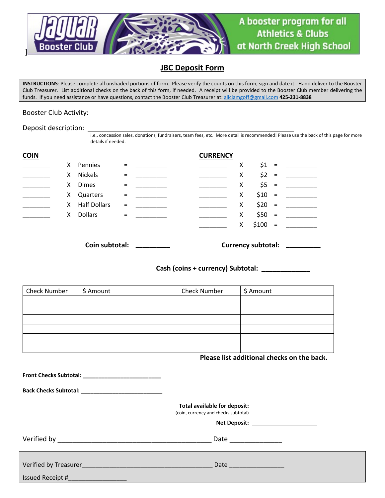

### **JBC Deposit Form**

**INSTRUCTIONS**: Please complete all unshaded portions of form. Please verify the counts on this form, sign and date it. Hand deliver to the Booster Club Treasurer. List additional checks on the back of this form, if needed. A receipt will be provided to the Booster Club member delivering the funds. If you need assistance or have questions, contact the Booster Club Treasurer at[: aliciamgoff@gmail.com](mailto:aliciamgoff@gmail.com) **425-231-8838**

#### Booster Club Activity:

Deposit description:

i.e., concession sales, donations, fundraisers, team fees, etc. More detail is recommended! Please use the back of this page for more details if needed.

| <b>COIN</b> |    |                     |          | <b>CURRENCY</b> |   |         |          |  |
|-------------|----|---------------------|----------|-----------------|---|---------|----------|--|
|             | X. | Pennies             | $=$      |                 | х | $$1 =$  |          |  |
|             | X. | Nickels             | $=$      |                 | Χ | $$2 =$  |          |  |
|             | X. | <b>Dimes</b>        | $\equiv$ |                 | Χ | $$5 =$  |          |  |
|             | X. | Quarters            | $\equiv$ |                 | х | $$10 =$ |          |  |
|             | X. | <b>Half Dollars</b> | $=$      |                 | X | $$20 =$ |          |  |
|             | X. | <b>Dollars</b>      | $\equiv$ |                 | X | $$50 =$ |          |  |
|             |    |                     |          |                 | X | \$100   | $\equiv$ |  |

**Coin subtotal: \_\_\_\_\_\_\_\_\_\_ Currency subtotal: \_\_\_\_\_\_\_\_\_\_**

**Cash (coins + currency) Subtotal: \_\_\_\_\_\_\_\_\_\_\_\_\_**

| <b>Check Number</b> | \$ Amount | <b>Check Number</b> | \$ Amount |
|---------------------|-----------|---------------------|-----------|
|                     |           |                     |           |
|                     |           |                     |           |
|                     |           |                     |           |
|                     |           |                     |           |
|                     |           |                     |           |
|                     |           |                     |           |

#### **Please list additional checks on the back.**

|                  | (coin, currency and checks subtotal)<br>Net Deposit: _____________________ |
|------------------|----------------------------------------------------------------------------|
|                  | Date ______________                                                        |
| Issued Receipt # | Date                                                                       |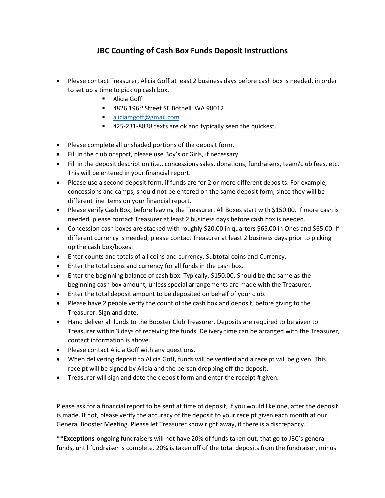## **JBC Counting of Cash Box Funds Deposit Instructions**

- Please contact Treasurer, Alicia Goff at least 2 business days before cash box is needed, in order to set up a time to pick up cash box.
	- Alicia Goff
	- $-4826$  196<sup>th</sup> Street SE Bothell, WA 98012
	- **[aliciamgoff@gmail.com](mailto:aliciamgoff@gmail.com)**
	- 425-231-8838 texts are ok and typically seen the quickest.
- Please complete all unshaded portions of the deposit form.
- Fill in the club or sport, please use Boy's or Girls, if necessary.
- Fill in the deposit description (i.e., concessions sales, donations, fundraisers, team/club fees, etc. This will be entered in your financial report.
- Please use a second deposit form, if funds are for 2 or more different deposits. For example, concessions and camps, should not be entered on the same deposit form, since they will be different line items on your financial report.
- Please verify Cash Box, before leaving the Treasurer. All Boxes start with \$150.00. If more cash is needed, please contact Treasurer at least 2 business days before cash box is needed.
- Concession cash boxes are stacked with roughly \$20.00 in quarters \$65.00 in Ones and \$65.00. If different currency is needed, please contact Treasurer at least 2 business days prior to picking up the cash box/boxes.
- Enter counts and totals of all coins and currency. Subtotal coins and Currency.
- Enter the total coins and currency for all funds in the cash box.
- Enter the beginning balance of cash box. Typically, \$150.00. Should be the same as the beginning cash box amount, unless special arrangements are made with the Treasurer.
- Enter the total deposit amount to be deposited on behalf of your club.
- Please have 2 people verify the count of the cash box and deposit, before giving to the Treasurer. Sign and date.
- Hand deliver all funds to the Booster Club Treasurer. Deposits are required to be given to Treasurer within 3 days of receiving the funds. Delivery time can be arranged with the Treasurer, contact information is above.
- Please contact Alicia Goff with any questions.
- When delivering deposit to Alicia Goff, funds will be verified and a receipt will be given. This receipt will be signed by Alicia and the person dropping off the deposit.
- Treasurer will sign and date the deposit form and enter the receipt # given.

Please ask for a financial report to be sent at time of deposit, if you would like one, after the deposit is made. If not, please verify the accuracy of the deposit to your receipt given each month at our General Booster Meeting. Please let Treasurer know right away, if there is a discrepancy.

\*\***Exceptions**-ongoing fundraisers will not have 20% of funds taken out, that go to JBC's general funds, until fundraiser is complete. 20% is taken off of the total deposits from the fundraiser, minus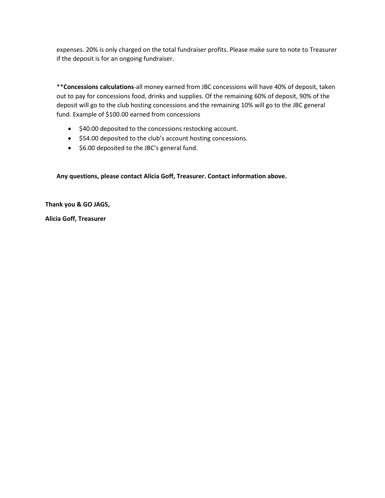expenses. 20% is only charged on the total fundraiser profits. Please make sure to note to Treasurer if the deposit is for an ongoing fundraiser.

\*\***Concessions calculations**-all money earned from JBC concessions will have 40% of deposit, taken out to pay for concessions food, drinks and supplies. Of the remaining 60% of deposit, 90% of the deposit will go to the club hosting concessions and the remaining 10% will go to the JBC general fund. Example of \$100.00 earned from concessions

- \$40.00 deposited to the concessions restocking account.
- \$54.00 deposited to the club's account hosting concessions.
- \$6.00 deposited to the JBC's general fund.

**Any questions, please contact Alicia Goff, Treasurer. Contact information above.**

**Thank you & GO JAGS,** 

**Alicia Goff, Treasurer**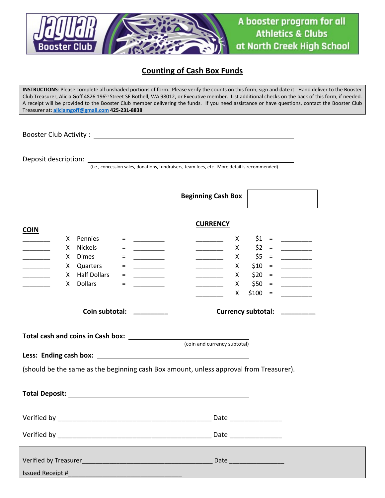

## **Counting of Cash Box Funds**

**INSTRUCTIONS**: Please complete all unshaded portions of form. Please verify the counts on this form, sign and date it. Hand deliver to the Booster Club Treasurer, Alicia Goff 4826 196<sup>th</sup> Street SE Bothell, WA 98012, or Executive member. List additional checks on the back of this form, if needed. A receipt will be provided to the Booster Club member delivering the funds. If you need assistance or have questions, contact the Booster Club Treasurer at: **[aliciamgoff@gmail.com](mailto:aliciamgoff@gmail.com) 425-231-8838**

Booster Club Activity :

Deposit description:

(i.e., concession sales, donations, fundraisers, team fees, etc. More detail is recommended)

|                                                                                                                     |                                                                                                                                                                                                                                |                                                                     | <b>Beginning Cash Box</b>                                                                                                                                                                                                                                                                                                                                                                                                       |                       |                                                                                                                                                                                                                                                                                                                                                                                                                                                                                              |  |  |
|---------------------------------------------------------------------------------------------------------------------|--------------------------------------------------------------------------------------------------------------------------------------------------------------------------------------------------------------------------------|---------------------------------------------------------------------|---------------------------------------------------------------------------------------------------------------------------------------------------------------------------------------------------------------------------------------------------------------------------------------------------------------------------------------------------------------------------------------------------------------------------------|-----------------------|----------------------------------------------------------------------------------------------------------------------------------------------------------------------------------------------------------------------------------------------------------------------------------------------------------------------------------------------------------------------------------------------------------------------------------------------------------------------------------------------|--|--|
| <b>COIN</b>                                                                                                         |                                                                                                                                                                                                                                |                                                                     | <b>CURRENCY</b>                                                                                                                                                                                                                                                                                                                                                                                                                 |                       |                                                                                                                                                                                                                                                                                                                                                                                                                                                                                              |  |  |
| <u> 1989 - 1989 - 1989 - 1989 - 1989 - 1989 - 1989 - 1989 - 1989 - 1989 - 1989 - 1989 - 1989 - 1989 - 1989 - 19</u> | X Pennies<br>$=$                                                                                                                                                                                                               |                                                                     | $\mathsf{X}$<br>$\overline{\phantom{a}}$ . The contract of $\overline{\phantom{a}}$                                                                                                                                                                                                                                                                                                                                             | $$1 =$                | <u> The Common State</u>                                                                                                                                                                                                                                                                                                                                                                                                                                                                     |  |  |
|                                                                                                                     | Nickels<br>X.<br>$=$                                                                                                                                                                                                           |                                                                     | $\mathsf{X}$                                                                                                                                                                                                                                                                                                                                                                                                                    | $$2 =$                |                                                                                                                                                                                                                                                                                                                                                                                                                                                                                              |  |  |
| $\mathcal{L}(\mathcal{L}^{\mathcal{L}})$ and $\mathcal{L}^{\mathcal{L}}$                                            | X Dimes<br>$=$                                                                                                                                                                                                                 | <u> 1999 - Jan Jan Jawa</u>                                         | X.<br><u> Albanya (</u>                                                                                                                                                                                                                                                                                                                                                                                                         |                       |                                                                                                                                                                                                                                                                                                                                                                                                                                                                                              |  |  |
| __________                                                                                                          | X Quarters<br>$=$                                                                                                                                                                                                              | $\overline{\phantom{a}}$ . The contract of $\overline{\phantom{a}}$ | $\overline{\phantom{a}}$ x                                                                                                                                                                                                                                                                                                                                                                                                      | $$10 =$               | $\begin{tabular}{cc} \multicolumn{2}{c} {\textbf{1}} & \multicolumn{2}{c} {\textbf{2}} & \multicolumn{2}{c} {\textbf{3}} & \multicolumn{2}{c} {\textbf{4}} & \multicolumn{2}{c} {\textbf{5}} & \multicolumn{2}{c} {\textbf{6}} & \multicolumn{2}{c} {\textbf{7}} & \multicolumn{2}{c} {\textbf{8}} & \multicolumn{2}{c} {\textbf{9}} & \multicolumn{2}{c} {\textbf{1}} & \multicolumn{2}{c} {\textbf{1}} & \multicolumn{2}{c} {\textbf{1}} & \multicolumn{2}{c} {\textbf{1}} & \multicolumn$ |  |  |
|                                                                                                                     | X Half Dollars<br>$=$                                                                                                                                                                                                          | ____________                                                        | $\frac{1}{\sqrt{1-\frac{1}{2}}}\frac{1}{\sqrt{1-\frac{1}{2}}}\frac{1}{\sqrt{1-\frac{1}{2}}}\frac{1}{\sqrt{1-\frac{1}{2}}}\frac{1}{\sqrt{1-\frac{1}{2}}}\frac{1}{\sqrt{1-\frac{1}{2}}}\frac{1}{\sqrt{1-\frac{1}{2}}}\frac{1}{\sqrt{1-\frac{1}{2}}}\frac{1}{\sqrt{1-\frac{1}{2}}}\frac{1}{\sqrt{1-\frac{1}{2}}}\frac{1}{\sqrt{1-\frac{1}{2}}}\frac{1}{\sqrt{1-\frac{1}{2}}}\frac{1}{\sqrt{1-\frac{1}{2}}}\frac{1}{\sqrt{1-\frac{$ | $$20 =$               |                                                                                                                                                                                                                                                                                                                                                                                                                                                                                              |  |  |
|                                                                                                                     | <b>Dollars</b><br>X.<br>$=$                                                                                                                                                                                                    | <u> 1999 - Jan Jan Jawa</u>                                         | X —<br>$\frac{1}{2}$ and $\frac{1}{2}$ and $\frac{1}{2}$ and $\frac{1}{2}$                                                                                                                                                                                                                                                                                                                                                      | $$50 =$               | $\overline{\phantom{a}}$ . The state of $\overline{\phantom{a}}$                                                                                                                                                                                                                                                                                                                                                                                                                             |  |  |
|                                                                                                                     |                                                                                                                                                                                                                                |                                                                     | $X -$                                                                                                                                                                                                                                                                                                                                                                                                                           | $$100 =$              | <u> 1999 - Jan Jawa</u>                                                                                                                                                                                                                                                                                                                                                                                                                                                                      |  |  |
| Coin subtotal: _________<br>Currency subtotal: _________                                                            |                                                                                                                                                                                                                                |                                                                     |                                                                                                                                                                                                                                                                                                                                                                                                                                 |                       |                                                                                                                                                                                                                                                                                                                                                                                                                                                                                              |  |  |
|                                                                                                                     |                                                                                                                                                                                                                                |                                                                     | (coin and currency subtotal)                                                                                                                                                                                                                                                                                                                                                                                                    |                       |                                                                                                                                                                                                                                                                                                                                                                                                                                                                                              |  |  |
|                                                                                                                     |                                                                                                                                                                                                                                |                                                                     |                                                                                                                                                                                                                                                                                                                                                                                                                                 |                       |                                                                                                                                                                                                                                                                                                                                                                                                                                                                                              |  |  |
|                                                                                                                     |                                                                                                                                                                                                                                |                                                                     |                                                                                                                                                                                                                                                                                                                                                                                                                                 |                       |                                                                                                                                                                                                                                                                                                                                                                                                                                                                                              |  |  |
|                                                                                                                     | (should be the same as the beginning cash Box amount, unless approval from Treasurer).                                                                                                                                         |                                                                     |                                                                                                                                                                                                                                                                                                                                                                                                                                 |                       |                                                                                                                                                                                                                                                                                                                                                                                                                                                                                              |  |  |
|                                                                                                                     | Total Deposit: Note that the set of the set of the set of the set of the set of the set of the set of the set of the set of the set of the set of the set of the set of the set of the set of the set of the set of the set of |                                                                     |                                                                                                                                                                                                                                                                                                                                                                                                                                 |                       |                                                                                                                                                                                                                                                                                                                                                                                                                                                                                              |  |  |
|                                                                                                                     |                                                                                                                                                                                                                                |                                                                     |                                                                                                                                                                                                                                                                                                                                                                                                                                 | Date ________________ |                                                                                                                                                                                                                                                                                                                                                                                                                                                                                              |  |  |
|                                                                                                                     |                                                                                                                                                                                                                                |                                                                     |                                                                                                                                                                                                                                                                                                                                                                                                                                 |                       |                                                                                                                                                                                                                                                                                                                                                                                                                                                                                              |  |  |
|                                                                                                                     |                                                                                                                                                                                                                                |                                                                     |                                                                                                                                                                                                                                                                                                                                                                                                                                 |                       |                                                                                                                                                                                                                                                                                                                                                                                                                                                                                              |  |  |
| <b>Issued Receipt #</b>                                                                                             |                                                                                                                                                                                                                                |                                                                     |                                                                                                                                                                                                                                                                                                                                                                                                                                 |                       |                                                                                                                                                                                                                                                                                                                                                                                                                                                                                              |  |  |
|                                                                                                                     |                                                                                                                                                                                                                                |                                                                     |                                                                                                                                                                                                                                                                                                                                                                                                                                 |                       |                                                                                                                                                                                                                                                                                                                                                                                                                                                                                              |  |  |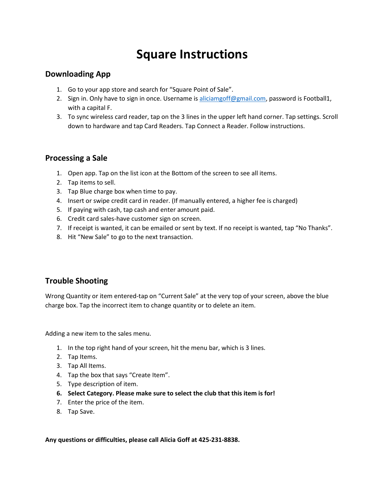## **Square Instructions**

## **Downloading App**

- 1. Go to your app store and search for "Square Point of Sale".
- 2. Sign in. Only have to sign in once. Username is [aliciamgoff@gmail.com,](mailto:aliciamgoff@gmail.com) password is Football1, with a capital F.
- 3. To sync wireless card reader, tap on the 3 lines in the upper left hand corner. Tap settings. Scroll down to hardware and tap Card Readers. Tap Connect a Reader. Follow instructions.

### **Processing a Sale**

- 1. Open app. Tap on the list icon at the Bottom of the screen to see all items.
- 2. Tap items to sell.
- 3. Tap Blue charge box when time to pay.
- 4. Insert or swipe credit card in reader. (If manually entered, a higher fee is charged)
- 5. If paying with cash, tap cash and enter amount paid.
- 6. Credit card sales-have customer sign on screen.
- 7. If receipt is wanted, it can be emailed or sent by text. If no receipt is wanted, tap "No Thanks".
- 8. Hit "New Sale" to go to the next transaction.

## **Trouble Shooting**

Wrong Quantity or item entered-tap on "Current Sale" at the very top of your screen, above the blue charge box. Tap the incorrect item to change quantity or to delete an item.

Adding a new item to the sales menu.

- 1. In the top right hand of your screen, hit the menu bar, which is 3 lines.
- 2. Tap Items.
- 3. Tap All Items.
- 4. Tap the box that says "Create Item".
- 5. Type description of item.
- **6. Select Category. Please make sure to select the club that this item is for!**
- 7. Enter the price of the item.
- 8. Tap Save.

**Any questions or difficulties, please call Alicia Goff at 425-231-8838.**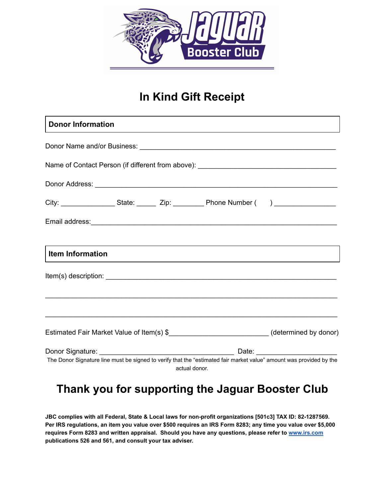

## In Kind Gift Receipt

| <b>Donor Information</b> |  |  |                                                                                                                                                                                                                                      |  |  |
|--------------------------|--|--|--------------------------------------------------------------------------------------------------------------------------------------------------------------------------------------------------------------------------------------|--|--|
|                          |  |  |                                                                                                                                                                                                                                      |  |  |
|                          |  |  | Name of Contact Person (if different from above): ______________________________                                                                                                                                                     |  |  |
|                          |  |  | Donor Address: <u>New York: New York: New York: New York: New York: New York: New York: New York: New York: New York: New York: New York: New York: New York: New York: New York: New York: New York: New York: New York: New Yo</u> |  |  |
|                          |  |  | City: _______________________State: _________ Zip: _____________Phone Number ( ) __________________                                                                                                                                  |  |  |
|                          |  |  |                                                                                                                                                                                                                                      |  |  |
| Item Information         |  |  |                                                                                                                                                                                                                                      |  |  |
|                          |  |  |                                                                                                                                                                                                                                      |  |  |
|                          |  |  |                                                                                                                                                                                                                                      |  |  |
|                          |  |  | Estimated Fair Market Value of Item(s) \$_____________________________(determined by donor)                                                                                                                                          |  |  |
|                          |  |  | The Donor Signature line must be signed to verify that the "estimated fair market value" amount was provided by the                                                                                                                  |  |  |
|                          |  |  | actual donor.                                                                                                                                                                                                                        |  |  |

## Thank you for supporting the Jaguar Booster Club

JBC complies with all Federal, State & Local laws for non-profit organizations [501c3] TAX ID: 82-1287569. Per IRS regulations, an item you value over \$500 requires an IRS Form 8283; any time you value over \$5,000 requires Form 8283 and written appraisal. Should you have any questions, please refer to [www.irs.com](http://www.irs.com/) publications 526 and 561, and consult your tax adviser.